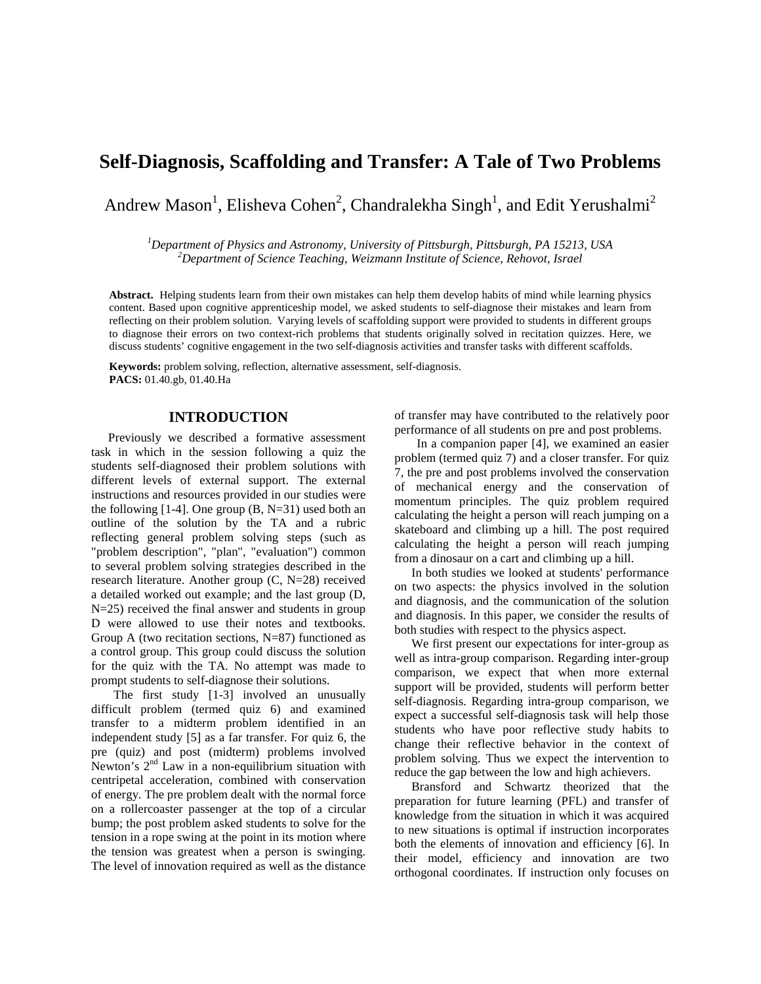# **Self-Diagnosis, Scaffolding and Transfer: A Tale of Two Problems**

Andrew Mason<sup>1</sup>, Elisheva Cohen<sup>2</sup>, Chandralekha Singh<sup>1</sup>, and Edit Yerushalmi<sup>2</sup>

*<sup>1</sup>Department of Physics and Astronomy, University of Pittsburgh, Pittsburgh, PA 15213, USA <sup>2</sup>Department of Science Teaching, Weizmann Institute of Science, Rehovot, Israel* 

**Abstract.** Helping students learn from their own mistakes can help them develop habits of mind while learning physics content. Based upon cognitive apprenticeship model, we asked students to self-diagnose their mistakes and learn from reflecting on their problem solution. Varying levels of scaffolding support were provided to students in different groups to diagnose their errors on two context-rich problems that students originally solved in recitation quizzes. Here, we discuss students' cognitive engagement in the two self-diagnosis activities and transfer tasks with different scaffolds.

**Keywords:** problem solving, reflection, alternative assessment, self-diagnosis. **PACS:** 01.40.gb, 01.40.Ha

# **INTRODUCTION**

Previously we described a formative assessment task in which in the session following a quiz the students self-diagnosed their problem solutions with different levels of external support. The external instructions and resources provided in our studies were the following  $[1-4]$ . One group  $(B, N=31)$  used both an outline of the solution by the TA and a rubric reflecting general problem solving steps (such as "problem description", "plan", "evaluation") common to several problem solving strategies described in the research literature. Another group (C, N=28) received a detailed worked out example; and the last group (D, N=25) received the final answer and students in group D were allowed to use their notes and textbooks. Group A (two recitation sections,  $N=87$ ) functioned as a control group. This group could discuss the solution for the quiz with the TA. No attempt was made to prompt students to self-diagnose their solutions.

The first study [1-3] involved an unusually difficult problem (termed quiz 6) and examined transfer to a midterm problem identified in an independent study [5] as a far transfer. For quiz 6, the pre (quiz) and post (midterm) problems involved Newton's  $2<sup>nd</sup>$  Law in a non-equilibrium situation with centripetal acceleration, combined with conservation of energy. The pre problem dealt with the normal force on a rollercoaster passenger at the top of a circular bump; the post problem asked students to solve for the tension in a rope swing at the point in its motion where the tension was greatest when a person is swinging. The level of innovation required as well as the distance

of transfer may have contributed to the relatively poor performance of all students on pre and post problems.

In a companion paper [4], we examined an easier problem (termed quiz 7) and a closer transfer. For quiz 7, the pre and post problems involved the conservation of mechanical energy and the conservation of momentum principles. The quiz problem required calculating the height a person will reach jumping on a skateboard and climbing up a hill. The post required calculating the height a person will reach jumping from a dinosaur on a cart and climbing up a hill.

In both studies we looked at students' performance on two aspects: the physics involved in the solution and diagnosis, and the communication of the solution and diagnosis. In this paper, we consider the results of both studies with respect to the physics aspect.

We first present our expectations for inter-group as well as intra-group comparison. Regarding inter-group comparison, we expect that when more external support will be provided, students will perform better self-diagnosis. Regarding intra-group comparison, we expect a successful self-diagnosis task will help those students who have poor reflective study habits to change their reflective behavior in the context of problem solving. Thus we expect the intervention to reduce the gap between the low and high achievers.

Bransford and Schwartz theorized that the preparation for future learning (PFL) and transfer of knowledge from the situation in which it was acquired to new situations is optimal if instruction incorporates both the elements of innovation and efficiency [6]. In their model, efficiency and innovation are two orthogonal coordinates. If instruction only focuses on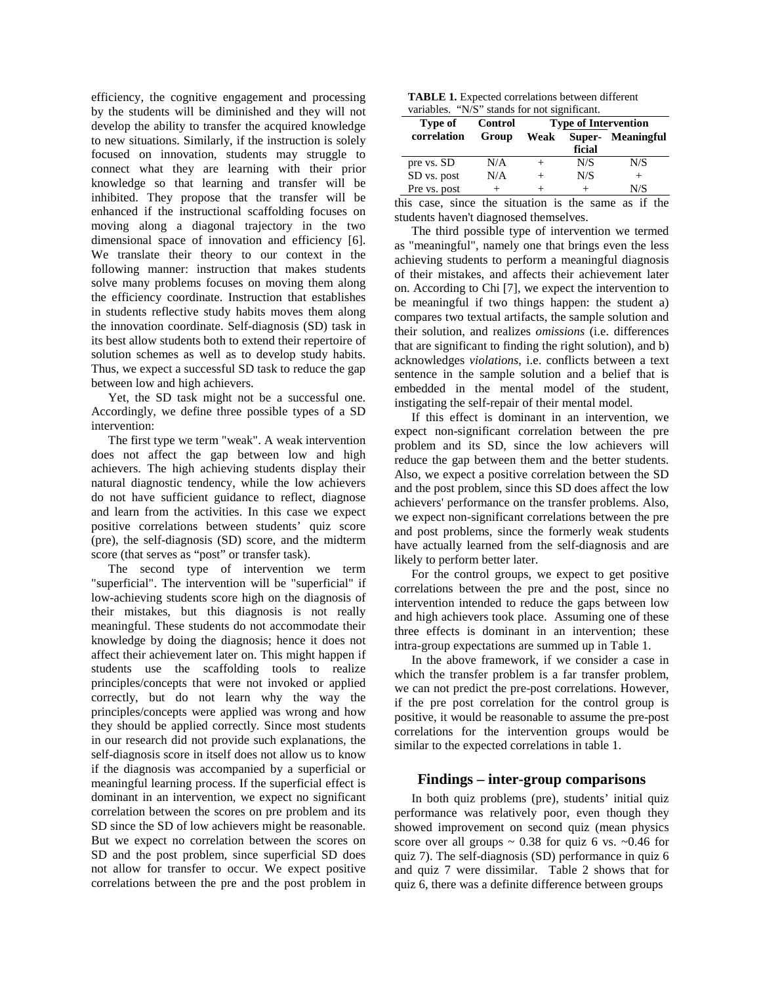efficiency, the cognitive engagement and processing by the students will be diminished and they will not develop the ability to transfer the acquired knowledge to new situations. Similarly, if the instruction is solely focused on innovation, students may struggle to connect what they are learning with their prior knowledge so that learning and transfer will be inhibited. They propose that the transfer will be enhanced if the instructional scaffolding focuses on moving along a diagonal trajectory in the two dimensional space of innovation and efficiency [6]. We translate their theory to our context in the following manner: instruction that makes students solve many problems focuses on moving them along the efficiency coordinate. Instruction that establishes in students reflective study habits moves them along the innovation coordinate. Self-diagnosis (SD) task in its best allow students both to extend their repertoire of solution schemes as well as to develop study habits. Thus, we expect a successful SD task to reduce the gap between low and high achievers.

Yet, the SD task might not be a successful one. Accordingly, we define three possible types of a SD intervention:

The first type we term "weak". A weak intervention does not affect the gap between low and high achievers. The high achieving students display their natural diagnostic tendency, while the low achievers do not have sufficient guidance to reflect, diagnose and learn from the activities. In this case we expect positive correlations between students' quiz score (pre), the self-diagnosis (SD) score, and the midterm score (that serves as "post" or transfer task).

The second type of intervention we term "superficial". The intervention will be "superficial" if low-achieving students score high on the diagnosis of their mistakes, but this diagnosis is not really meaningful. These students do not accommodate their knowledge by doing the diagnosis; hence it does not affect their achievement later on. This might happen if students use the scaffolding tools to realize principles/concepts that were not invoked or applied correctly, but do not learn why the way the principles/concepts were applied was wrong and how they should be applied correctly. Since most students in our research did not provide such explanations, the self-diagnosis score in itself does not allow us to know if the diagnosis was accompanied by a superficial or meaningful learning process. If the superficial effect is dominant in an intervention, we expect no significant correlation between the scores on pre problem and its SD since the SD of low achievers might be reasonable. But we expect no correlation between the scores on SD and the post problem, since superficial SD does not allow for transfer to occur. We expect positive correlations between the pre and the post problem in

| <b>TABLE 1.</b> Expected correlations between different |
|---------------------------------------------------------|
| variables. "N/S" stands for not significant.            |

| variables. Two stands for not significant. |       |                             |        |                   |  |  |  |
|--------------------------------------------|-------|-----------------------------|--------|-------------------|--|--|--|
| Control<br>Type of                         |       | <b>Type of Intervention</b> |        |                   |  |  |  |
| correlation                                | Group | Weak                        |        | Super- Meaningful |  |  |  |
|                                            |       |                             | ficial |                   |  |  |  |
| pre vs. SD                                 | N/A   |                             | N/S    | N/S               |  |  |  |
| SD vs. post                                | N/A   | $^{+}$                      | N/S    | $^{+}$            |  |  |  |
| Pre vs. post                               | $+$   |                             |        | N/S               |  |  |  |
|                                            |       |                             |        |                   |  |  |  |

this case, since the situation is the same as if the students haven't diagnosed themselves.

The third possible type of intervention we termed as "meaningful", namely one that brings even the less achieving students to perform a meaningful diagnosis of their mistakes, and affects their achievement later on. According to Chi [7], we expect the intervention to be meaningful if two things happen: the student a) compares two textual artifacts, the sample solution and their solution, and realizes *omissions* (i.e. differences that are significant to finding the right solution), and b) acknowledges *violations*, i.e. conflicts between a text sentence in the sample solution and a belief that is embedded in the mental model of the student, instigating the self-repair of their mental model.

If this effect is dominant in an intervention, we expect non-significant correlation between the pre problem and its SD, since the low achievers will reduce the gap between them and the better students. Also, we expect a positive correlation between the SD and the post problem, since this SD does affect the low achievers' performance on the transfer problems. Also, we expect non-significant correlations between the pre and post problems, since the formerly weak students have actually learned from the self-diagnosis and are likely to perform better later.

For the control groups, we expect to get positive correlations between the pre and the post, since no intervention intended to reduce the gaps between low and high achievers took place. Assuming one of these three effects is dominant in an intervention; these intra-group expectations are summed up in Table 1.

In the above framework, if we consider a case in which the transfer problem is a far transfer problem, we can not predict the pre-post correlations. However, if the pre post correlation for the control group is positive, it would be reasonable to assume the pre-post correlations for the intervention groups would be similar to the expected correlations in table 1.

### **Findings – inter-group comparisons**

In both quiz problems (pre), students' initial quiz performance was relatively poor, even though they showed improvement on second quiz (mean physics score over all groups  $\sim 0.38$  for quiz 6 vs.  $\sim 0.46$  for quiz 7). The self-diagnosis (SD) performance in quiz 6 and quiz 7 were dissimilar. Table 2 shows that for quiz 6, there was a definite difference between groups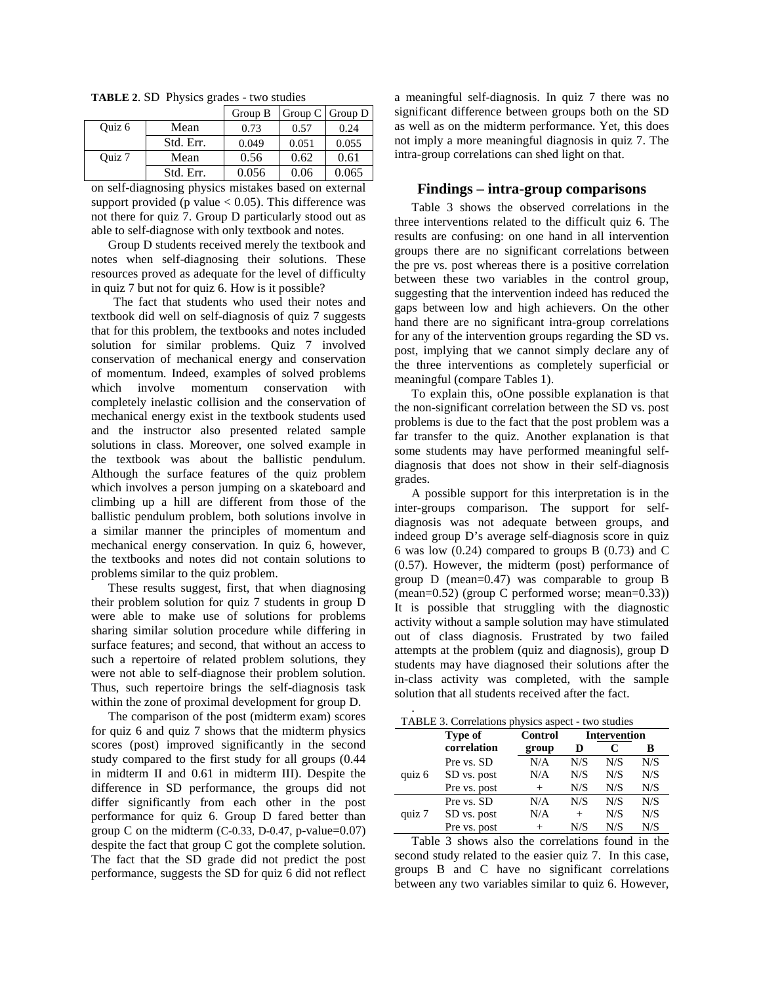|        |           | Group B |       | Group $C$ Group $D$ |
|--------|-----------|---------|-------|---------------------|
| Ouiz 6 | Mean      | 0.73    | 0.57  | 0.24                |
|        | Std. Err. | 0.049   | 0.051 | 0.055               |
| Ouiz 7 | Mean      | 0.56    | 0.62  | 0.61                |
|        | Std. Err. | 0.056   | 0.06  | 0.065               |

**TABLE 2**. SD Physics grades - two studies

on self-diagnosing physics mistakes based on external support provided (p value  $< 0.05$ ). This difference was not there for quiz 7. Group D particularly stood out as able to self-diagnose with only textbook and notes.

Group D students received merely the textbook and notes when self-diagnosing their solutions. These resources proved as adequate for the level of difficulty in quiz 7 but not for quiz 6. How is it possible?

The fact that students who used their notes and textbook did well on self-diagnosis of quiz 7 suggests that for this problem, the textbooks and notes included solution for similar problems. Quiz 7 involved conservation of mechanical energy and conservation of momentum. Indeed, examples of solved problems which involve momentum conservation with completely inelastic collision and the conservation of mechanical energy exist in the textbook students used and the instructor also presented related sample solutions in class. Moreover, one solved example in the textbook was about the ballistic pendulum. Although the surface features of the quiz problem which involves a person jumping on a skateboard and climbing up a hill are different from those of the ballistic pendulum problem, both solutions involve in a similar manner the principles of momentum and mechanical energy conservation. In quiz 6, however, the textbooks and notes did not contain solutions to problems similar to the quiz problem.

These results suggest, first, that when diagnosing their problem solution for quiz 7 students in group D were able to make use of solutions for problems sharing similar solution procedure while differing in surface features; and second, that without an access to such a repertoire of related problem solutions, they were not able to self-diagnose their problem solution. Thus, such repertoire brings the self-diagnosis task within the zone of proximal development for group D.

The comparison of the post (midterm exam) scores for quiz 6 and quiz 7 shows that the midterm physics scores (post) improved significantly in the second study compared to the first study for all groups (0.44 in midterm II and 0.61 in midterm III). Despite the difference in SD performance, the groups did not differ significantly from each other in the post performance for quiz 6. Group D fared better than group C on the midterm  $(C-0.33, D-0.47, p-value=0.07)$ despite the fact that group C got the complete solution. The fact that the SD grade did not predict the post performance, suggests the SD for quiz 6 did not reflect

a meaningful self-diagnosis. In quiz 7 there was no significant difference between groups both on the SD as well as on the midterm performance. Yet, this does not imply a more meaningful diagnosis in quiz 7. The intra-group correlations can shed light on that.

#### **Findings – intra-group comparisons**

Table 3 shows the observed correlations in the three interventions related to the difficult quiz 6. The results are confusing: on one hand in all intervention groups there are no significant correlations between the pre vs. post whereas there is a positive correlation between these two variables in the control group, suggesting that the intervention indeed has reduced the gaps between low and high achievers. On the other hand there are no significant intra-group correlations for any of the intervention groups regarding the SD vs. post, implying that we cannot simply declare any of the three interventions as completely superficial or meaningful (compare Tables 1).

To explain this, oOne possible explanation is that the non-significant correlation between the SD vs. post problems is due to the fact that the post problem was a far transfer to the quiz. Another explanation is that some students may have performed meaningful selfdiagnosis that does not show in their self-diagnosis grades.

A possible support for this interpretation is in the inter-groups comparison. The support for selfdiagnosis was not adequate between groups, and indeed group D's average self-diagnosis score in quiz 6 was low (0.24) compared to groups B (0.73) and C (0.57). However, the midterm (post) performance of group D (mean=0.47) was comparable to group B (mean=0.52) (group C performed worse; mean=0.33)) It is possible that struggling with the diagnostic activity without a sample solution may have stimulated out of class diagnosis. Frustrated by two failed attempts at the problem (quiz and diagnosis), group D students may have diagnosed their solutions after the in-class activity was completed, with the sample solution that all students received after the fact.

TABLE 3. Correlations physics aspect - two studies

.

|        | Type of      | Control | <b>Intervention</b> |     |     |
|--------|--------------|---------|---------------------|-----|-----|
|        | correlation  | group   | D                   | C   | B   |
|        | Pre vs. SD   | N/A     | N/S                 | N/S | N/S |
| quiz 6 | SD vs. post  | N/A     | N/S                 | N/S | N/S |
|        | Pre vs. post | $^{+}$  | N/S                 | N/S | N/S |
| quiz 7 | Pre vs. SD   | N/A     | N/S                 | N/S | N/S |
|        | SD vs. post  | N/A     | $^{+}$              | N/S | N/S |
|        | Pre vs. post | $^{+}$  | N/S                 | N/S | N/S |

Table 3 shows also the correlations found in the second study related to the easier quiz 7. In this case, groups B and C have no significant correlations between any two variables similar to quiz 6. However,